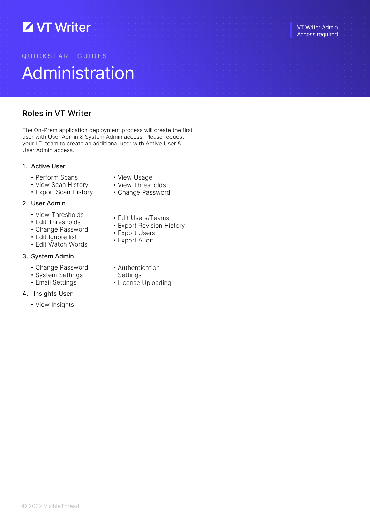# **Z VT Writer**

# Q U I C K S T A R T G U I D E S Administration

# Roles in VT Writer

The On-Prem application deployment process will create the first user with User Admin & System Admin access. Please request your I.T. team to create an additional user with Active User & User Admin access.

## 1. Active User

- Perform Scans
- View Scan History
- Export Scan History

## 2. User Admin

- View Thresholds
- Edit Thresholds
- Change Password
- Edit Ignore list
- Edit Watch Words

## 3. System Admin

- Change Password
- System Settings
- Email Settings

## 4. Insights User

• View Insights

- View Usage
- View Thresholds
- Change Password
- Edit Users/Teams
- Export Revision History
- Export Users
- Export Audit
- 
- Authentication
- Settings
- License Uploading

VT Writer Admin Access required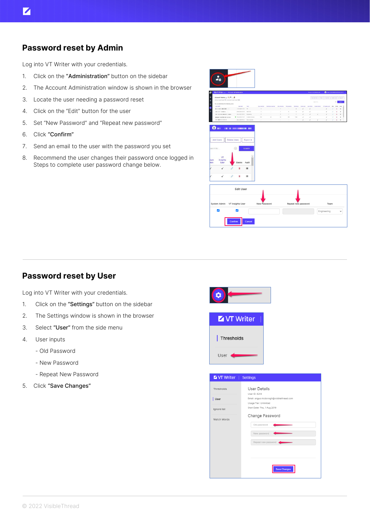## Password reset by Admin

Log into VT Writer with your credentials.

- 1. Click on the "Administration" button on the sidebar
- 2. The Account Administration window is shown in the browser
- 3. Locate the user needing a password reset
- 4. Click on the "Edit" button for the user
- 5. Set "New Password" and "Repeat new password"
- 6. Click "Confirm"
- 7. Send an email to the user with the password you set
- 8. Recommend the user changes their password once logged in Steps to complete user password change below.



|                                               |                                                                  |             |               |           |              |     |      |      | <b>But the Broad</b><br>Texture | <b>ASSESSED</b> |           | Esigily        |
|-----------------------------------------------|------------------------------------------------------------------|-------------|---------------|-----------|--------------|-----|------|------|---------------------------------|-----------------|-----------|----------------|
| Action Liner Count 76 Licensed User Count 100 |                                                                  |             |               |           |              |     |      |      | <b>Team for</b>                 |                 |           | <b>Search</b>  |
| You can administer the following user         |                                                                  |             |               |           |              |     |      |      |                                 |                 |           |                |
| <b>Georgia T</b>                              | <b>Last Seen</b>                                                 | <b>Said</b> | Dock Scienced |           |              |     |      |      |                                 |                 |           |                |
| <b>Manager Manager Corp.</b>                  | mongeneral les                                                   |             | $\sim$        | - 23      |              | ×   | n    |      |                                 |                 | $\alpha$  | $\blacksquare$ |
| also and interest                             | 26 Sep 2021 22:54                                                | Admi Little |               |           |              |     |      |      |                                 |                 | $\sim$    | $\blacksquare$ |
| controlled the<br>$\cdots$                    | 24.00.2527.00.45 Engineering                                     |             |               |           |              |     |      |      |                                 |                 | The Court | $\cdot$        |
|                                               | · W.av (81212.035 Customer Society)                              |             | 520           | $\lambda$ | $\mathbf{u}$ | 158 | 1546 |      |                                 |                 | ٠         | $\blacksquare$ |
| the company and the com-                      | that how behind with the total distance between the transportion |             |               |           |              |     |      | - 27 | <b>CONTRACTOR</b>               | 14              |           |                |



# Password reset by User

Log into VT Writer with your credentials.

- 1. Click on the "Settings" button on the sidebar
- 2. The Settings window is shown in the browser
- 3. Select "User" from the side menu
- 4. User inputs
	- Old Password
	- New Password
	- Repeat New Password
- 5. Click "Save Changes"



| User lanore Watch \

| ------     | --------                                |
|------------|-----------------------------------------|
|            |                                         |
| <b>Ids</b> | <b>User Details</b>                     |
|            | User ID: 8214                           |
|            | Email: angus.mcdonogh@visiblethread.com |
|            | Usage Tier: Unlimited                   |
| st         | Start Date: Thu, 1 Aug 2019             |
|            | Change Password                         |
| Vords      |                                         |
|            | Old password                            |
|            |                                         |
|            | New password                            |
|            | Repeat new password                     |
|            |                                         |
|            |                                         |
|            |                                         |
|            |                                         |
|            | <b>Save Changes</b>                     |
|            |                                         |
|            |                                         |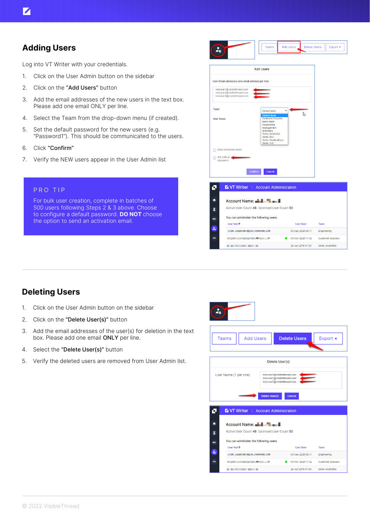Log into VT Writer with your credentials.

- 1. Click on the User Admin button on the sidebar
- 2. Click on the "Add Users" button
- 3. Add the email addresses of the new users in the text box. Please add one email ONLY per line.
- 4. Select the Team from the drop-down menu (if created).
- 5. Set the default password for the new users (e.g. "Password1"). This should be communicated to the users.
- 6. Click "Confirm"
- 7. Verify the NEW users appear in the User Admin list

#### PRO TIP

For bulk user creation, complete in batches of 500 users following Steps 2 & 3 above. Choose to configure a default password. **DO NOT** choose the option to send an activation email.

|                                        |                                                                                           | <b>Teams</b>                                                                                                                                                                                   | <b>Add Users</b> | <b>Delete Users</b> | Export v |
|----------------------------------------|-------------------------------------------------------------------------------------------|------------------------------------------------------------------------------------------------------------------------------------------------------------------------------------------------|------------------|---------------------|----------|
|                                        |                                                                                           | <b>Add Users</b>                                                                                                                                                                               |                  |                     |          |
|                                        | User Email addresses (one email address per line)                                         |                                                                                                                                                                                                |                  |                     |          |
|                                        | testuser1@visiblethread.com<br>testuser2@visiblethread.com<br>testuser3@visiblethread.com |                                                                                                                                                                                                |                  |                     |          |
| Team:<br>User Roles:                   |                                                                                           | Default team<br><b>Default team</b><br><b>Customer Success</b><br>demo team<br>Engineering<br>Management<br>Marketing<br>Sales (Australia)<br>Sales (EU)<br>Sales (South Africa)<br>Sales (US) |                  | $\mathbb{P}$        |          |
|                                        | Send activation email<br>Set default                                                      |                                                                                                                                                                                                |                  |                     |          |
| password                               | Confirm                                                                                   | Cancel                                                                                                                                                                                         |                  |                     |          |
|                                        | <b>Z VT Writer</b>   Account Administration                                               |                                                                                                                                                                                                |                  |                     |          |
|                                        | Account Name: New York 1                                                                  |                                                                                                                                                                                                |                  |                     |          |
|                                        | Active User Count 46 Licensed User Count 50                                               |                                                                                                                                                                                                |                  |                     |          |
|                                        | You can administer the following users                                                    |                                                                                                                                                                                                |                  |                     |          |
| o<br>A<br>$\overline{\mathbf{x}}$<br>œ | User Mail <sup>+</sup>                                                                    |                                                                                                                                                                                                | <b>Last Seen</b> | Team                |          |

a contract and contract

26 Jun 2019 07:33 Sales (Australia)

# Deleting Users

- 1. Click on the User Admin button on the sidebar
- 2. Click on the "Delete User(s)" button
- 3. Add the email addresses of the user(s) for deletion in the text box. Please add one email ONLY per line.
- 4. Select the "Delete User(s)" button
- 5. Verify the deleted users are removed from User Admin list.

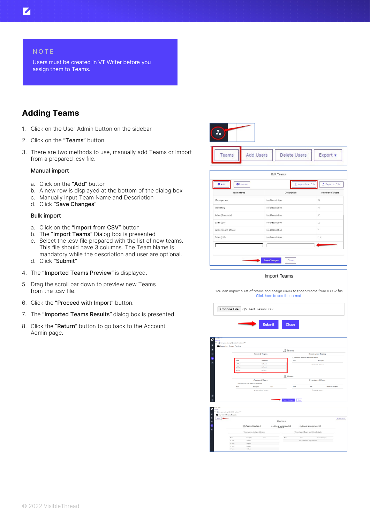### **NOTE**

Users must be created in VT Writer before you assign them to Teams.

# Adding Teams

- 1. Click on the User Admin button on the sidebar
- 2. Click on the "Teams" button
- 3. There are two methods to use, manually add Teams or import from a prepared .csv file.

#### Manual import

- a. Click on the "Add" button
- b. A new row is displayed at the bottom of the dialog box
- c. Manually input Team Name and Description
- d. Click "Save Changes"

#### Bulk import

- a. Click on the "Import from CSV" button
- b. The "Import Teams" Dialog box is presented
- c. Select the .csv file prepared with the list of new teams. This file should have 3 columns. The Team Name is mandatory while the description and user are optional. d. Click "Submit"
- 4. The "Imported Teams Preview" is displayed.
- 5. Drag the scroll bar down to preview new Teams from the .csv file.
- 6. Click the "Proceed with Import" button.
- 7. The "Imported Teams Results" dialog box is presented.
- 8. Click the "Return" button to go back to the Account Admin page.

| $\frac{1}{40}$ |                  |                     |          |
|----------------|------------------|---------------------|----------|
| Teams          | <b>Add Users</b> | <b>Delete Users</b> | Export v |

| Description<br>No Description<br>No Description<br>No Description<br>No Description<br>No Description           | Number of Users<br>3<br>4<br>$\overline{7}$<br>$\overline{2}$ |
|-----------------------------------------------------------------------------------------------------------------|---------------------------------------------------------------|
|                                                                                                                 |                                                               |
|                                                                                                                 |                                                               |
|                                                                                                                 |                                                               |
|                                                                                                                 |                                                               |
|                                                                                                                 |                                                               |
|                                                                                                                 | $\mathbf{1}$                                                  |
| No Description                                                                                                  | 13                                                            |
|                                                                                                                 |                                                               |
| <b>Import Teams</b>                                                                                             |                                                               |
| You can import a list of teams and assign users to those teams from a CSV file<br>Click here to see the format. |                                                               |
| Choose File   QS Test Teams.csv                                                                                 |                                                               |
|                                                                                                                 | <b>Save Changes</b><br>Close                                  |

|                      | Imported Teams Preview             |                                            |                        |                              |                                           |                     |
|----------------------|------------------------------------|--------------------------------------------|------------------------|------------------------------|-------------------------------------------|---------------------|
| z                    |                                    |                                            |                        | 见 Teams                      |                                           |                     |
| ۰                    |                                    | <b>Created Teams</b>                       |                        |                              | <b>Reactivated Teams</b>                  |                     |
|                      |                                    |                                            |                        |                              | Reactivate previously deactivated teams?  |                     |
|                      | Team                               | Description                                |                        | Team                         | Description                               |                     |
|                      | VT Test 3                          | QS Test 3                                  |                        |                              | No teams to reactivate.                   |                     |
|                      | VT Test 2                          | OR Test 2                                  |                        |                              |                                           |                     |
|                      | VT Test 1                          | OS Test 1                                  |                        |                              |                                           |                     |
|                      | $rac{1}{2}$                        | $-$                                        |                        |                              |                                           |                     |
|                      |                                    |                                            |                        | <b>R</b> Users               |                                           |                     |
|                      |                                    | <b>Assigned Users</b>                      |                        |                              | <b>Unassigned Users</b>                   |                     |
|                      |                                    | Clarry over user scan history to new Team? |                        |                              |                                           |                     |
|                      | Team                               | Description                                | User                   | Team                         | User                                      | Reason not assigned |
| ø                    |                                    |                                            |                        | Proceed with Import<br>Close |                                           |                     |
|                      |                                    |                                            |                        |                              |                                           |                     |
| <b>NATION</b><br>àá. | angua moderogh@visitiwthread.com ¥ |                                            |                        |                              |                                           |                     |
| Ister                | Imported Teams Results             |                                            | Overview               |                              |                                           | <b>Z</b> base to ON |
|                      |                                    | 见 Teams Created: 4                         | 2. Users assigned: 0/0 |                              | & Users unassigned: 0/0                   |                     |
|                      |                                    | <b>Teams and Assigned Users</b>            |                        |                              | Unassigned Team and User Details          |                     |
|                      | Team                               | Oestription<br><b>User</b>                 | Team                   |                              | <b>Resume not assigned</b><br><b>User</b> |                     |

`■`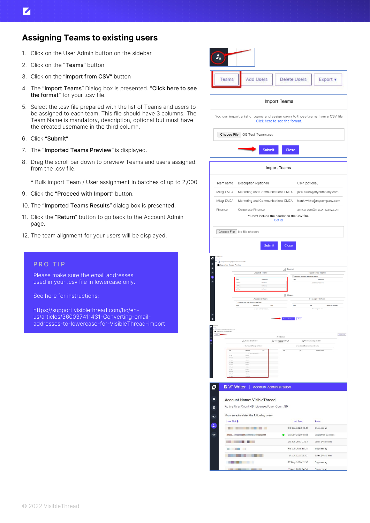# Assigning Teams to existing users

- 1. Click on the User Admin button on the sidebar
- 2. Click on the "Teams" button
- 3. Click on the "Import from CSV" button
- 4. The "Import Teams" Dialog box is presented. "Click here to see the format" for your .csv file.
- 5. Select the .csv file prepared with the list of Teams and users to be assigned to each team. This file should have 3 columns. The Team Name is mandatory, description, optional but must have the created username in the third column.
- 6. Click "Submit"
- 7. The "Imported Teams Preview" is displayed.
- 8. Drag the scroll bar down to preview Teams and users assigned. from the .csv file.
	- \* Bulk import Team / User assignment in batches of up to 2,000
- 9. Click the "Proceed with Import" button.
- 10. The "Imported Teams Results" dialog box is presented.
- 11. Click the "Return" button to go back to the Account Admin page.
- 12. The team alignment for your users will be displayed.

#### PRO TIP

Please make sure the email addresses used in your .csv file in lowercase only.

See here for instructions:

https://support.visiblethread.com/hc/enus/articles/360037411431-Converting-emailaddresses-to-lowercase-for-VisibleThread-import

| Teams                                | <b>Add Users</b>                                                                                                       | <b>Delete Users</b>                                |                                                 | Export v                                                                                      |
|--------------------------------------|------------------------------------------------------------------------------------------------------------------------|----------------------------------------------------|-------------------------------------------------|-----------------------------------------------------------------------------------------------|
|                                      |                                                                                                                        | Import Teams                                       |                                                 |                                                                                               |
|                                      | You can import a list of teams and assign users to those teams from a CSV file                                         | Click here to see the format.                      |                                                 |                                                                                               |
|                                      | Choose File   QS Test Teams.csv                                                                                        |                                                    |                                                 |                                                                                               |
|                                      | <b>Submit</b>                                                                                                          | <b>Close</b>                                       |                                                 |                                                                                               |
|                                      |                                                                                                                        | Import Teams                                       |                                                 |                                                                                               |
| Team name                            | Description (optional)                                                                                                 |                                                    | User (optional)                                 |                                                                                               |
| Mktg-EMEA                            | Marketing and Communications EMEA jack.black@mycompany.com                                                             |                                                    |                                                 |                                                                                               |
| Mktg-EMEA                            | Marketing and Communications EMEA frank.white@mycompany.com                                                            |                                                    |                                                 |                                                                                               |
| Finance                              | Corporate Finance<br>* Don't include the header on the CSV file.                                                       |                                                    |                                                 | amy.green@mycompany.com                                                                       |
|                                      | Choose File   No file chosen                                                                                           | Got it!                                            |                                                 |                                                                                               |
|                                      | <b>Submit</b>                                                                                                          | <b>Close</b>                                       |                                                 |                                                                                               |
| Б<br>Imported Teams Preview<br>z     | mogh@visiblettread.com<br><b>Created Teams</b>                                                                         | 见 Teams                                            |                                                 | Reactivated Teams                                                                             |
|                                      | Team<br>Description<br>VT Test 3<br>OS Test 3<br>VT Test 2<br>OS Test 2<br><b>VT Test 1</b><br>OS Test 1               |                                                    | $\Box$ Reactivate previously deactivated teams? | No teams to reactivate.                                                                       |
|                                      | <b>Assigned Users</b><br>Carry over user scan history to new Team?<br>Use<br>Description<br>Nr users assigned to teams | $\Omega$ , Users<br>Team<br>Close 1                |                                                 | <b>Unassigned Users</b><br><b>Reason not assigned</b><br>ther and the<br>No unassigned years. |
| Imported Teams Results               |                                                                                                                        |                                                    |                                                 |                                                                                               |
| tear.                                | 3 Teams Created: 0                                                                                                     | Overview<br><b>A.</b> User <sub>billigned 00</sub> | Sa Users unassigned: 0/0                        | $\pmb{z}$ functions:                                                                          |
|                                      | Teams and Assigned Users                                                                                               |                                                    | Unassigned Team and User Details                |                                                                                               |
| of the<br>et ties)<br><b>IT Fast</b> | or ber<br>$05\,\mathrm{Ker}\,\mathrm{i}$<br>(13.346.1)                                                                 |                                                    |                                                 |                                                                                               |
| itter<br>of fact<br>of fac           | 41344<br>GS Years<br>ot feet<br>on Net<br>oi sere                                                                      |                                                    |                                                 |                                                                                               |
| it fel                               | 03 544 8<br>il be l                                                                                                    |                                                    |                                                 |                                                                                               |
| v,                                   | <b>Z</b> VT Writer<br><b>Account Administration</b>                                                                    |                                                    |                                                 |                                                                                               |
| ٨                                    | <b>Account Name: VisibleThread</b>                                                                                     |                                                    |                                                 |                                                                                               |
| ⊠                                    | Active User Count 46 Licensed User Count 50                                                                            |                                                    |                                                 |                                                                                               |
| ш                                    | You can administer the following users                                                                                 |                                                    |                                                 |                                                                                               |
| User Mail +<br>۵,                    | .                                                                                                                      | <b>Last Seen</b><br>03 Sep 2020 09:11              |                                                 | Team<br>Engineering                                                                           |
| $\ddot{\circ}$                       |                                                                                                                        | O 04 Nov 2020 10:05                                |                                                 | Customer Success                                                                              |
|                                      |                                                                                                                        | 26 Jun 2019 07:33                                  |                                                 | Sales (Australia)                                                                             |
|                                      | <b>The Second Second Second</b>                                                                                        | 05 Jun 2019 15:08                                  |                                                 | Engineering                                                                                   |
|                                      | <b>BE A BAR DE</b><br><b>THE REAL PROPERTY</b>                                                                         | 21 Jul 2020 22:13<br>27 May 2020 12:30             |                                                 | Sales (Australia)                                                                             |
|                                      | <b>By Charles Committee Committee</b>                                                                                  | 13 Aug 2020 14:56                                  |                                                 | Engineering<br>Engineering                                                                    |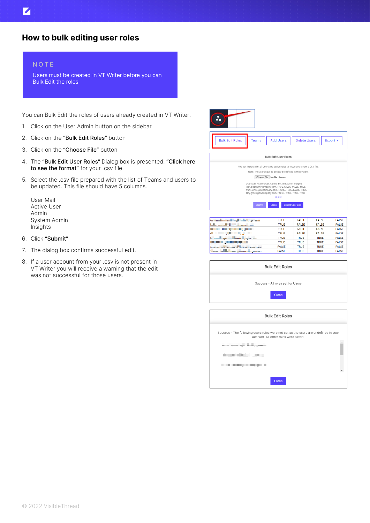#### **NOTE**

Z

Users must be created in VT Writer before you can Bulk Edit the roles

You can Bulk Edit the roles of users already created in VT Writer.

- 1. Click on the User Admin button on the sidebar
- 2. Click on the "Bulk Edit Roles" button
- 3. Click on the "Choose File" button
- 4. The "Bulk Edit User Roles" Dialog box is presented. "Click here to see the format" for your .csv file.
- 5. Select the .csv file prepared with the list of Teams and users to be updated. This file should have 5 columns.
	- User Mail Active User Admin System Admin Insights
- 6. Click "Submit"
- 7. The dialog box confirms successful edit.
- 8. If a user account from your .csv is not present in VT Writer you will receive a warning that the edit was not successful for those users.



| <b>Bulk Edit Roles</b>                                                              |
|-------------------------------------------------------------------------------------|
| Success - All roles set for Users                                                   |
| <b>Close</b>                                                                        |
|                                                                                     |
| <b>Bulk Edit Roles</b>                                                              |
| Success - The following users roles were not set as the users are undefined in your |

| Success - The following users roles were not set as the users are undefined in your<br>account. All other roles were saved. |  |
|-----------------------------------------------------------------------------------------------------------------------------|--|
| the property of the state property                                                                                          |  |
| A CONTRACTOR CONTRACTOR                                                                                                     |  |
| .                                                                                                                           |  |
|                                                                                                                             |  |
| <b>Close</b>                                                                                                                |  |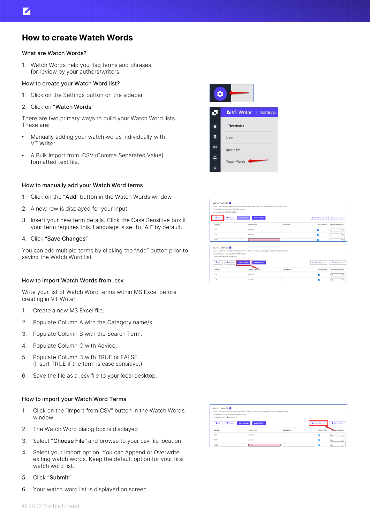## How to create Watch Words

#### What are Watch Words?

1. Watch Words help you flag terms and phrases for review by your authors/writers.

#### How to create your Watch Word list?

- 1. Click on the Settings button on the sidebar
- 2. Click on "Watch Words"

There are two primary ways to build your Watch Word lists. These are:

- Manually adding your watch words individually with VT Writer.
- A Bulk import from .CSV (Comma Separated Value) formatted text file.

#### How to manually add your Watch Word terms

- 1. Click on the "Add" button in the Watch Words window
- 2. A new row is displayed for your input.
- 3. Insert your new term details. Click the Case Sensitive box if your term requires this. Language is set to "All" by default.
- 4. Click "Save Changes"

You can add multiple terms by clicking the "Add" button prior to saving the Watch Word list.

#### How to import Watch Words from .csv

Write your list of Watch Word terms within MS Excel before creating in VT Writer

- 1. Create a new MS Excel file.
- 2. Populate Column A with the Category name/s.
- 3. Populate Column B with the Search Term.
- 4. Populate Column C with Advice.
- 5. Populate Column D with TRUE or FALSE. (Insert TRUE if the term is case sensitive.)
- 6. Save the file as a .csv file to your local desktop.

#### How to import your Watch Word Terms

- 1. Click on the "Import from CSV" button in the Watch Words window
- 2. The Watch Word dialog box is displayed
- 3. Select "Choose File" and browse to your csv file location
- 4. Select your import option. You can Append or Overwrite exiting watch words. Keep the default option for your first watch word list.
- 5. Click "Submit"
- 6. Your watch word list is displayed on screen.





| Watch Words <b>O</b><br>Last modified by david.colgan@visiblethread.com<br>Last modified at 12:04 28 Oct 2020 | This is a list of words and phrases that you want to check in the copy. Use categories to group the search terms. |             |                   |                                |
|---------------------------------------------------------------------------------------------------------------|-------------------------------------------------------------------------------------------------------------------|-------------|-------------------|--------------------------------|
| 0A64<br><b>O</b> Remove                                                                                       | <b>Save Changes</b><br>Version History                                                                            |             | X Import from CSV | 2 Export to CSV                |
|                                                                                                               | Search Term                                                                                                       | Description | Case sensitive    |                                |
| Category<br>TEST                                                                                              | motorola                                                                                                          |             | п                 | Actrics to language<br>A3<br>٧ |
| TEST                                                                                                          | solutions                                                                                                         |             | п                 | A5<br>$\checkmark$             |